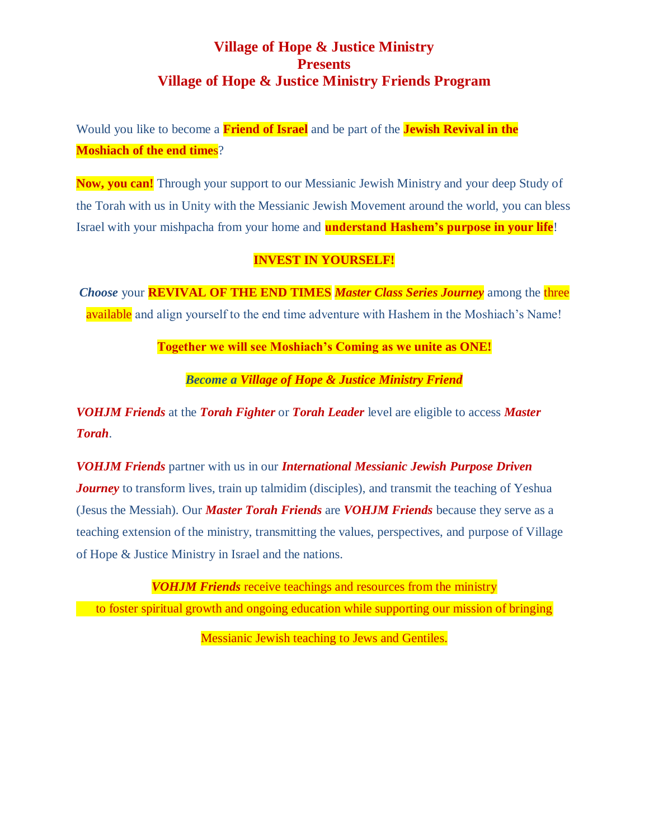## **Village of Hope & Justice Ministry Presents Village of Hope & Justice Ministry Friends Program**

Would you like to become a **Friend of Israel** and be part of the **Jewish Revival in the Moshiach of the end time**s?

**Now, you can!** Through your support to our Messianic Jewish Ministry and your deep Study of the Torah with us in Unity with the Messianic Jewish Movement around the world, you can bless Israel with your mishpacha from your home and **understand Hashem's purpose in your life**!

### **INVEST IN YOURSELF!**

*Choose* your **REVIVAL OF THE END TIMES** *Master Class Series Journey* among the three available and align yourself to the end time adventure with Hashem in the Moshiach's Name!

**Together we will see Moshiach's Coming as we unite as ONE!**

*Become a Village of Hope & Justice Ministry Friend*

*VOHJM Friends* at the *Torah Fighter* or *Torah Leader* level are eligible to access *Master Torah*.

*VOHJM Friends* partner with us in our *International Messianic Jewish Purpose Driven Journey* to transform lives, train up talmidim (disciples), and transmit the teaching of Yeshua (Jesus the Messiah). Our *Master Torah Friends* are *VOHJM Friends* because they serve as a teaching extension of the ministry, transmitting the values, perspectives, and purpose of Village of Hope & Justice Ministry in Israel and the nations.

*VOHJM Friends* receive teachings and resources from the ministry to foster spiritual growth and ongoing education while supporting our mission of bringing

Messianic Jewish teaching to Jews and Gentiles.